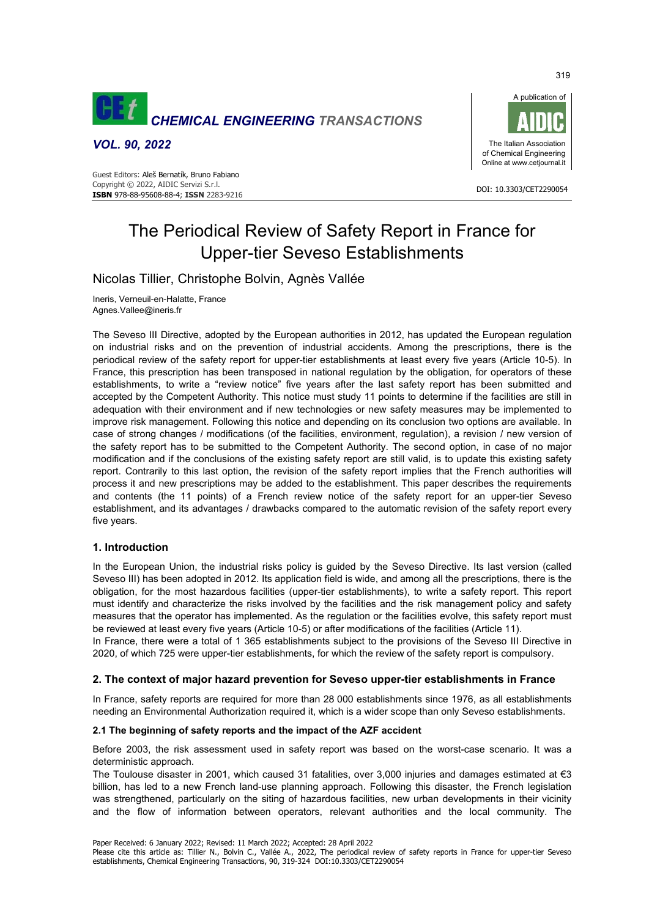

*VOL. 90, 2022* 



# The Periodical Review of Safety Report in France for Upper-tier Seveso Establishments

## Nicolas Tillier, Christophe Bolvin, Agnès Vallée

Ineris, Verneuil-en-Halatte, France Agnes.Vallee@ineris.fr

The Seveso III Directive, adopted by the European authorities in 2012, has updated the European regulation on industrial risks and on the prevention of industrial accidents. Among the prescriptions, there is the periodical review of the safety report for upper-tier establishments at least every five years (Article 10-5). In France, this prescription has been transposed in national regulation by the obligation, for operators of these establishments, to write a "review notice" five years after the last safety report has been submitted and accepted by the Competent Authority. This notice must study 11 points to determine if the facilities are still in adequation with their environment and if new technologies or new safety measures may be implemented to improve risk management. Following this notice and depending on its conclusion two options are available. In case of strong changes / modifications (of the facilities, environment, regulation), a revision / new version of the safety report has to be submitted to the Competent Authority. The second option, in case of no major modification and if the conclusions of the existing safety report are still valid, is to update this existing safety report. Contrarily to this last option, the revision of the safety report implies that the French authorities will process it and new prescriptions may be added to the establishment. This paper describes the requirements and contents (the 11 points) of a French review notice of the safety report for an upper-tier Seveso establishment, and its advantages / drawbacks compared to the automatic revision of the safety report every five years.

## **1. Introduction**

In the European Union, the industrial risks policy is guided by the Seveso Directive. Its last version (called Seveso III) has been adopted in 2012. Its application field is wide, and among all the prescriptions, there is the obligation, for the most hazardous facilities (upper-tier establishments), to write a safety report. This report must identify and characterize the risks involved by the facilities and the risk management policy and safety measures that the operator has implemented. As the regulation or the facilities evolve, this safety report must be reviewed at least every five years (Article 10-5) or after modifications of the facilities (Article 11).

In France, there were a total of 1 365 establishments subject to the provisions of the Seveso III Directive in 2020, of which 725 were upper-tier establishments, for which the review of the safety report is compulsory.

## **2. The context of major hazard prevention for Seveso upper-tier establishments in France**

In France, safety reports are required for more than 28 000 establishments since 1976, as all establishments needing an Environmental Authorization required it, which is a wider scope than only Seveso establishments.

## **2.1 The beginning of safety reports and the impact of the AZF accident**

Before 2003, the risk assessment used in safety report was based on the worst-case scenario. It was a deterministic approach.

The Toulouse disaster in 2001, which caused 31 fatalities, over 3,000 injuries and damages estimated at  $\epsilon$ 3 billion, has led to a new French land-use planning approach. Following this disaster, the French legislation was strengthened, particularly on the siting of hazardous facilities, new urban developments in their vicinity and the flow of information between operators, relevant authorities and the local community. The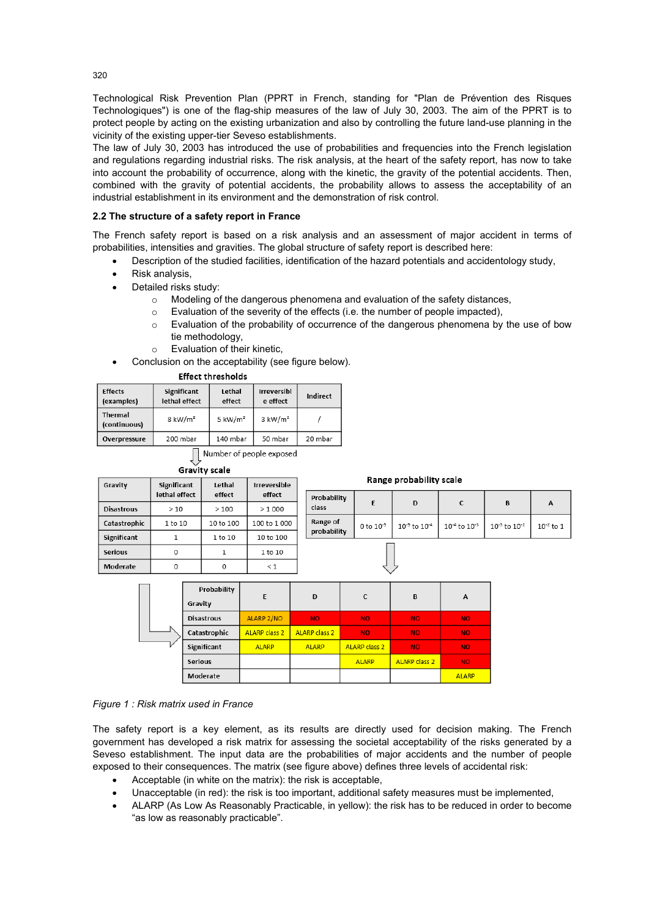Technological Risk Prevention Plan (PPRT in French, standing for "Plan de Prévention des Risques Technologiques") is one of the flag-ship measures of the law of July 30, 2003. The aim of the PPRT is to protect people by acting on the existing urbanization and also by controlling the future land-use planning in the vicinity of the existing upper-tier Seveso establishments.

The law of July 30, 2003 has introduced the use of probabilities and frequencies into the French legislation and regulations regarding industrial risks. The risk analysis, at the heart of the safety report, has now to take into account the probability of occurrence, along with the kinetic, the gravity of the potential accidents. Then, combined with the gravity of potential accidents, the probability allows to assess the acceptability of an industrial establishment in its environment and the demonstration of risk control.

## **2.2 The structure of a safety report in France**

The French safety report is based on a risk analysis and an assessment of major accident in terms of probabilities, intensities and gravities. The global structure of safety report is described here:

- Description of the studied facilities, identification of the hazard potentials and accidentology study,
- Risk analysis,
- Detailed risks study:
	- $\circ$  Modeling of the dangerous phenomena and evaluation of the safety distances,
	- $\circ$  Evaluation of the severity of the effects (i.e. the number of people impacted),
	- o Evaluation of the probability of occurrence of the dangerous phenomena by the use of bow tie methodology,
	- o Evaluation of their kinetic,
	- Conclusion on the acceptability (see figure below).

## **Effect thresholds**

| <b>Effects</b><br>(examples)   | Significant<br>lethal effect | Irreversibl<br>Lethal<br>e effect<br>effect |                    | Indirect |
|--------------------------------|------------------------------|---------------------------------------------|--------------------|----------|
| <b>Thermal</b><br>(continuous) | $8 \text{ kW/m}^2$           | $5 \text{ kW/m}^2$                          | $3 \text{ kW/m}^2$ |          |
| Overpressure                   | 200 mbar                     | 140 mbar                                    | 50 mbar            | 20 mbar  |

Number of people exposed

| <b>Gravity scale</b> |                              |                  |                        |       |  |
|----------------------|------------------------------|------------------|------------------------|-------|--|
| Gravity              | Significant<br>lethal effect | Lethal<br>effect | Irreversible<br>effect | Prob  |  |
| <b>Disastrous</b>    | >10                          | >100             | >1000                  | class |  |
| Catastrophic         | 1 to 10                      | 10 to 100        | 100 to 1 000           | Rang  |  |
| <b>Significant</b>   |                              | 1 to 10          | 10 to 100              | prob  |  |
| <b>Serious</b>       |                              |                  | 1 to 10                |       |  |
| Moderate             |                              |                  | $\leq 1$               |       |  |

#### Range probability scale

| obability<br><b>ISS</b> | D                                                                                                            |  |  |
|-------------------------|--------------------------------------------------------------------------------------------------------------|--|--|
| nge of<br>obability     | 0 to $10^{-5}$   $10^{-5}$ to $10^{-4}$   $10^{-4}$ to $10^{-3}$   $10^{-3}$ to $10^{-2}$   $10^{-2}$ to $1$ |  |  |
|                         |                                                                                                              |  |  |

|  | Probability       | E                    | D                    | $\epsilon$           | B                    | A            |
|--|-------------------|----------------------|----------------------|----------------------|----------------------|--------------|
|  | Gravity           |                      |                      |                      |                      |              |
|  | <b>Disastrous</b> | ALARP 2/NO           | <b>NO</b>            | <b>NO</b>            | <b>NO</b>            | NO.          |
|  | Catastrophic      | <b>ALARP class 2</b> | <b>ALARP class 2</b> | <b>NO</b>            | <b>NO</b>            | NO.          |
|  | Significant       | <b>ALARP</b>         | <b>ALARP</b>         | <b>ALARP class 2</b> | <b>NO</b>            | NO.          |
|  | <b>Serious</b>    |                      |                      | <b>ALARP</b>         | <b>ALARP class 2</b> | NO.          |
|  | Moderate          |                      |                      |                      |                      | <b>ALARP</b> |

#### *Figure 1 : Risk matrix used in France*

The safety report is a key element, as its results are directly used for decision making. The French government has developed a risk matrix for assessing the societal acceptability of the risks generated by a Seveso establishment. The input data are the probabilities of major accidents and the number of people exposed to their consequences. The matrix (see figure above) defines three levels of accidental risk:

- Acceptable (in white on the matrix): the risk is acceptable,
- Unacceptable (in red): the risk is too important, additional safety measures must be implemented,
- ALARP (As Low As Reasonably Practicable, in yellow): the risk has to be reduced in order to become "as low as reasonably practicable".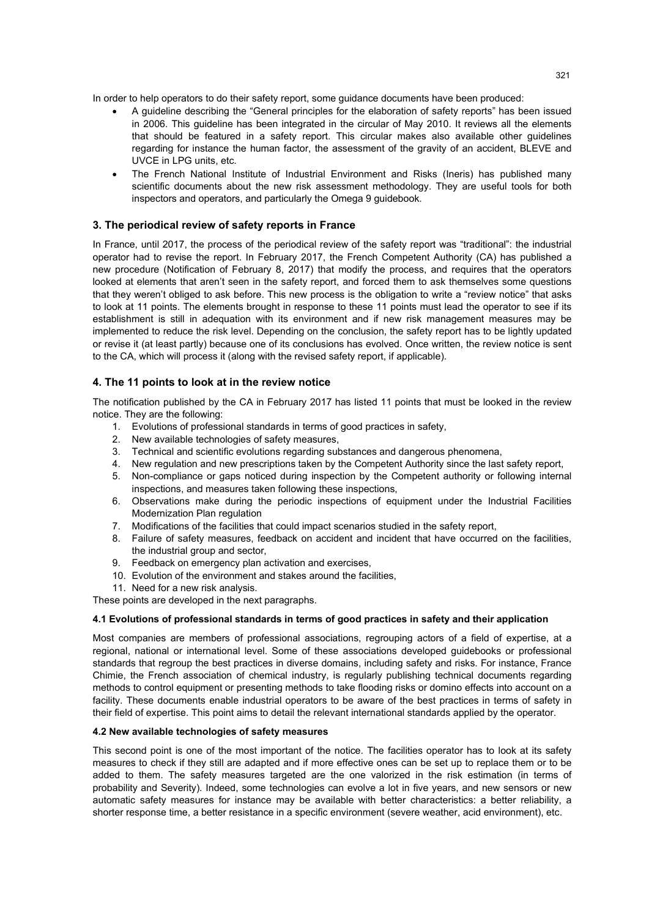In order to help operators to do their safety report, some guidance documents have been produced:

- A guideline describing the "General principles for the elaboration of safety reports" has been issued in 2006. This guideline has been integrated in the circular of May 2010. It reviews all the elements that should be featured in a safety report. This circular makes also available other guidelines regarding for instance the human factor, the assessment of the gravity of an accident, BLEVE and UVCE in LPG units, etc.
- The French National Institute of Industrial Environment and Risks (Ineris) has published many scientific documents about the new risk assessment methodology. They are useful tools for both inspectors and operators, and particularly the Omega 9 guidebook.

## **3. The periodical review of safety reports in France**

In France, until 2017, the process of the periodical review of the safety report was "traditional": the industrial operator had to revise the report. In February 2017, the French Competent Authority (CA) has published a new procedure (Notification of February 8, 2017) that modify the process, and requires that the operators looked at elements that aren't seen in the safety report, and forced them to ask themselves some questions that they weren't obliged to ask before. This new process is the obligation to write a "review notice" that asks to look at 11 points. The elements brought in response to these 11 points must lead the operator to see if its establishment is still in adequation with its environment and if new risk management measures may be implemented to reduce the risk level. Depending on the conclusion, the safety report has to be lightly updated or revise it (at least partly) because one of its conclusions has evolved. Once written, the review notice is sent to the CA, which will process it (along with the revised safety report, if applicable).

## **4. The 11 points to look at in the review notice**

The notification published by the CA in February 2017 has listed 11 points that must be looked in the review notice. They are the following:

- 1. Evolutions of professional standards in terms of good practices in safety,
- 2. New available technologies of safety measures,
- 3. Technical and scientific evolutions regarding substances and dangerous phenomena,
- 4. New regulation and new prescriptions taken by the Competent Authority since the last safety report,
- 5. Non-compliance or gaps noticed during inspection by the Competent authority or following internal inspections, and measures taken following these inspections,
- 6. Observations make during the periodic inspections of equipment under the Industrial Facilities Modernization Plan regulation
- 7. Modifications of the facilities that could impact scenarios studied in the safety report,
- 8. Failure of safety measures, feedback on accident and incident that have occurred on the facilities, the industrial group and sector,
- 9. Feedback on emergency plan activation and exercises,
- 10. Evolution of the environment and stakes around the facilities,
- 11. Need for a new risk analysis.

These points are developed in the next paragraphs.

#### **4.1 Evolutions of professional standards in terms of good practices in safety and their application**

Most companies are members of professional associations, regrouping actors of a field of expertise, at a regional, national or international level. Some of these associations developed guidebooks or professional standards that regroup the best practices in diverse domains, including safety and risks. For instance, France Chimie, the French association of chemical industry, is regularly publishing technical documents regarding methods to control equipment or presenting methods to take flooding risks or domino effects into account on a facility. These documents enable industrial operators to be aware of the best practices in terms of safety in their field of expertise. This point aims to detail the relevant international standards applied by the operator.

## **4.2 New available technologies of safety measures**

This second point is one of the most important of the notice. The facilities operator has to look at its safety measures to check if they still are adapted and if more effective ones can be set up to replace them or to be added to them. The safety measures targeted are the one valorized in the risk estimation (in terms of probability and Severity). Indeed, some technologies can evolve a lot in five years, and new sensors or new automatic safety measures for instance may be available with better characteristics: a better reliability, a shorter response time, a better resistance in a specific environment (severe weather, acid environment), etc.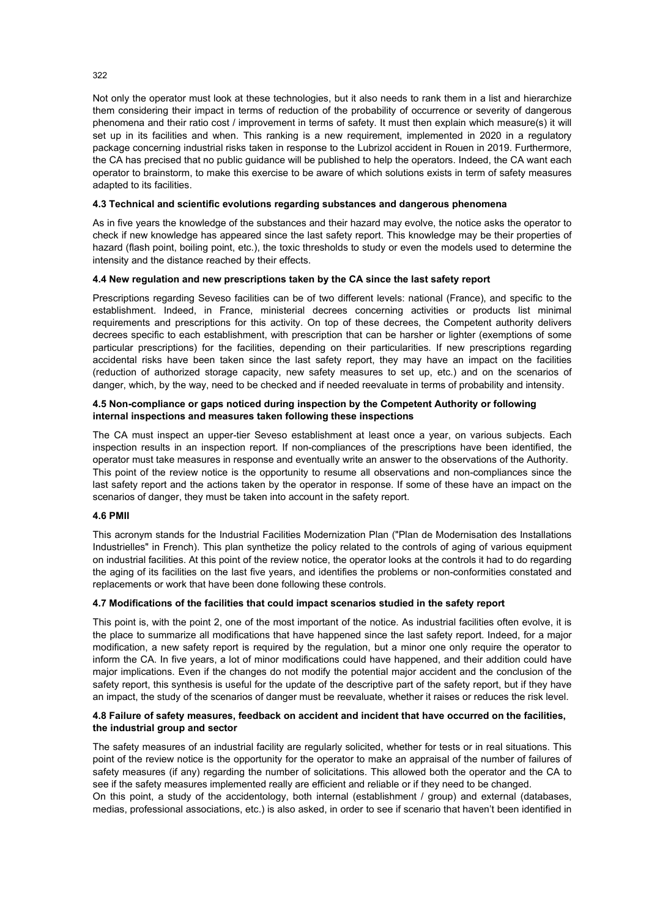Not only the operator must look at these technologies, but it also needs to rank them in a list and hierarchize them considering their impact in terms of reduction of the probability of occurrence or severity of dangerous phenomena and their ratio cost / improvement in terms of safety. It must then explain which measure(s) it will set up in its facilities and when. This ranking is a new requirement, implemented in 2020 in a regulatory package concerning industrial risks taken in response to the Lubrizol accident in Rouen in 2019. Furthermore, the CA has precised that no public guidance will be published to help the operators. Indeed, the CA want each operator to brainstorm, to make this exercise to be aware of which solutions exists in term of safety measures adapted to its facilities.

#### **4.3 Technical and scientific evolutions regarding substances and dangerous phenomena**

As in five years the knowledge of the substances and their hazard may evolve, the notice asks the operator to check if new knowledge has appeared since the last safety report. This knowledge may be their properties of hazard (flash point, boiling point, etc.), the toxic thresholds to study or even the models used to determine the intensity and the distance reached by their effects.

## **4.4 New regulation and new prescriptions taken by the CA since the last safety report**

Prescriptions regarding Seveso facilities can be of two different levels: national (France), and specific to the establishment. Indeed, in France, ministerial decrees concerning activities or products list minimal requirements and prescriptions for this activity. On top of these decrees, the Competent authority delivers decrees specific to each establishment, with prescription that can be harsher or lighter (exemptions of some particular prescriptions) for the facilities, depending on their particularities. If new prescriptions regarding accidental risks have been taken since the last safety report, they may have an impact on the facilities (reduction of authorized storage capacity, new safety measures to set up, etc.) and on the scenarios of danger, which, by the way, need to be checked and if needed reevaluate in terms of probability and intensity.

#### **4.5 Non-compliance or gaps noticed during inspection by the Competent Authority or following internal inspections and measures taken following these inspections**

The CA must inspect an upper-tier Seveso establishment at least once a year, on various subjects. Each inspection results in an inspection report. If non-compliances of the prescriptions have been identified, the operator must take measures in response and eventually write an answer to the observations of the Authority. This point of the review notice is the opportunity to resume all observations and non-compliances since the last safety report and the actions taken by the operator in response. If some of these have an impact on the scenarios of danger, they must be taken into account in the safety report.

#### **4.6 PMII**

This acronym stands for the Industrial Facilities Modernization Plan ("Plan de Modernisation des Installations Industrielles" in French). This plan synthetize the policy related to the controls of aging of various equipment on industrial facilities. At this point of the review notice, the operator looks at the controls it had to do regarding the aging of its facilities on the last five years, and identifies the problems or non-conformities constated and replacements or work that have been done following these controls.

## **4.7 Modifications of the facilities that could impact scenarios studied in the safety report**

This point is, with the point 2, one of the most important of the notice. As industrial facilities often evolve, it is the place to summarize all modifications that have happened since the last safety report. Indeed, for a major modification, a new safety report is required by the regulation, but a minor one only require the operator to inform the CA. In five years, a lot of minor modifications could have happened, and their addition could have major implications. Even if the changes do not modify the potential major accident and the conclusion of the safety report, this synthesis is useful for the update of the descriptive part of the safety report, but if they have an impact, the study of the scenarios of danger must be reevaluate, whether it raises or reduces the risk level.

## **4.8 Failure of safety measures, feedback on accident and incident that have occurred on the facilities, the industrial group and sector**

The safety measures of an industrial facility are regularly solicited, whether for tests or in real situations. This point of the review notice is the opportunity for the operator to make an appraisal of the number of failures of safety measures (if any) regarding the number of solicitations. This allowed both the operator and the CA to see if the safety measures implemented really are efficient and reliable or if they need to be changed.

On this point, a study of the accidentology, both internal (establishment / group) and external (databases, medias, professional associations, etc.) is also asked, in order to see if scenario that haven't been identified in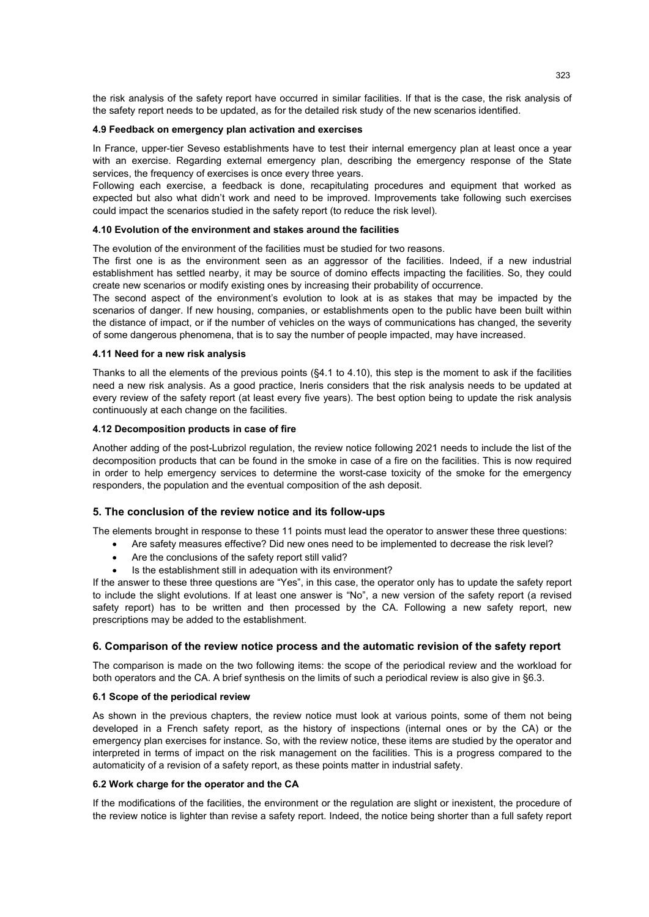the risk analysis of the safety report have occurred in similar facilities. If that is the case, the risk analysis of the safety report needs to be updated, as for the detailed risk study of the new scenarios identified.

#### **4.9 Feedback on emergency plan activation and exercises**

In France, upper-tier Seveso establishments have to test their internal emergency plan at least once a year with an exercise. Regarding external emergency plan, describing the emergency response of the State services, the frequency of exercises is once every three years.

Following each exercise, a feedback is done, recapitulating procedures and equipment that worked as expected but also what didn't work and need to be improved. Improvements take following such exercises could impact the scenarios studied in the safety report (to reduce the risk level).

#### **4.10 Evolution of the environment and stakes around the facilities**

The evolution of the environment of the facilities must be studied for two reasons.

The first one is as the environment seen as an aggressor of the facilities. Indeed, if a new industrial establishment has settled nearby, it may be source of domino effects impacting the facilities. So, they could create new scenarios or modify existing ones by increasing their probability of occurrence.

The second aspect of the environment's evolution to look at is as stakes that may be impacted by the scenarios of danger. If new housing, companies, or establishments open to the public have been built within the distance of impact, or if the number of vehicles on the ways of communications has changed, the severity of some dangerous phenomena, that is to say the number of people impacted, may have increased.

#### **4.11 Need for a new risk analysis**

Thanks to all the elements of the previous points (§4.1 to 4.10), this step is the moment to ask if the facilities need a new risk analysis. As a good practice, Ineris considers that the risk analysis needs to be updated at every review of the safety report (at least every five years). The best option being to update the risk analysis continuously at each change on the facilities.

#### **4.12 Decomposition products in case of fire**

Another adding of the post-Lubrizol regulation, the review notice following 2021 needs to include the list of the decomposition products that can be found in the smoke in case of a fire on the facilities. This is now required in order to help emergency services to determine the worst-case toxicity of the smoke for the emergency responders, the population and the eventual composition of the ash deposit.

#### **5. The conclusion of the review notice and its follow-ups**

The elements brought in response to these 11 points must lead the operator to answer these three questions:

- Are safety measures effective? Did new ones need to be implemented to decrease the risk level?
	- Are the conclusions of the safety report still valid?
	- Is the establishment still in adequation with its environment?

If the answer to these three questions are "Yes", in this case, the operator only has to update the safety report to include the slight evolutions. If at least one answer is "No", a new version of the safety report (a revised safety report) has to be written and then processed by the CA. Following a new safety report, new prescriptions may be added to the establishment.

#### **6. Comparison of the review notice process and the automatic revision of the safety report**

The comparison is made on the two following items: the scope of the periodical review and the workload for both operators and the CA. A brief synthesis on the limits of such a periodical review is also give in §6.3.

## **6.1 Scope of the periodical review**

As shown in the previous chapters, the review notice must look at various points, some of them not being developed in a French safety report, as the history of inspections (internal ones or by the CA) or the emergency plan exercises for instance. So, with the review notice, these items are studied by the operator and interpreted in terms of impact on the risk management on the facilities. This is a progress compared to the automaticity of a revision of a safety report, as these points matter in industrial safety.

#### **6.2 Work charge for the operator and the CA**

If the modifications of the facilities, the environment or the regulation are slight or inexistent, the procedure of the review notice is lighter than revise a safety report. Indeed, the notice being shorter than a full safety report